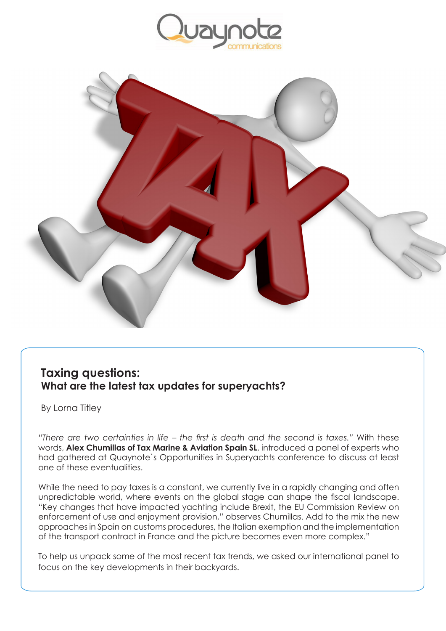



## **Taxing questions: What are the latest tax updates for superyachts?**

By Lorna Titley

*"There are two certainties in life – the first is death and the second is taxes."* With these words, **Alex Chumillas of Tax Marine & Aviation Spain SL**, introduced a panel of experts who had gathered at Quaynote`s Opportunities in Superyachts conference to discuss at least one of these eventualities.

While the need to pay taxes is a constant, we currently live in a rapidly changing and often unpredictable world, where events on the global stage can shape the fiscal landscape. "Key changes that have impacted yachting include Brexit, the EU Commission Review on enforcement of use and enjoyment provision," observes Chumillas. Add to the mix the new approaches in Spain on customs procedures, the Italian exemption and the implementation of the transport contract in France and the picture becomes even more complex."

To help us unpack some of the most recent tax trends, we asked our international panel to focus on the key developments in their backyards.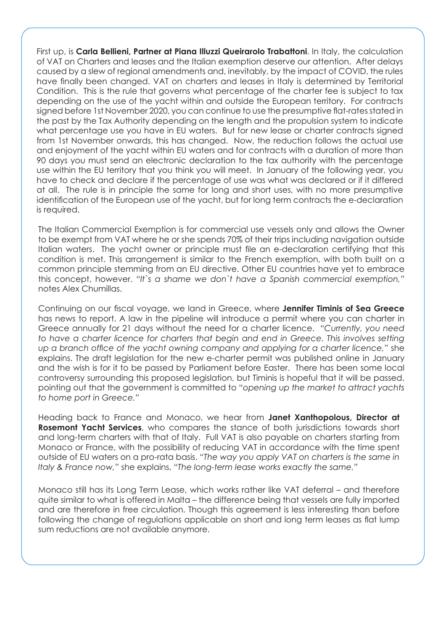First up, is **Carla Bellieni, Partner at Piana Illuzzi Queirarolo Trabattoni**. In Italy, the calculation of VAT on Charters and leases and the Italian exemption deserve our attention. After delays caused by a slew of regional amendments and, inevitably, by the impact of COVID, the rules have finally been changed. VAT on charters and leases in Italy is determined by Territorial Condition. This is the rule that governs what percentage of the charter fee is subject to tax depending on the use of the yacht within and outside the European territory. For contracts signed before 1st November 2020, you can continue to use the presumptive flat-rates stated in the past by the Tax Authority depending on the length and the propulsion system to indicate what percentage use you have in EU waters. But for new lease or charter contracts signed from 1st November onwards, this has changed. Now, the reduction follows the actual use and enjoyment of the yacht within EU waters and for contracts with a duration of more than 90 days you must send an electronic declaration to the tax authority with the percentage use within the EU territory that you think you will meet. In January of the following year, you have to check and declare if the percentage of use was what was declared or if it differed at all. The rule is in principle the same for long and short uses, with no more presumptive identification of the European use of the yacht, but for long term contracts the e-declaration is required.

The Italian Commercial Exemption is for commercial use vessels only and allows the Owner to be exempt from VAT where he or she spends 70% of their trips including navigation outside Italian waters. The yacht owner or principle must file an e-declaration certifying that this condition is met. This arrangement is similar to the French exemption, with both built on a common principle stemming from an EU directive. Other EU countries have yet to embrace this concept, however. *"It`s a shame we don`t have a Spanish commercial exemption,"*  notes Alex Chumillas.

Continuing on our fiscal voyage, we land in Greece, where **Jennifer Timinis of Sea Greece** has news to report. A law in the pipeline will introduce a permit where you can charter in Greece annually for 21 days without the need for a charter licence. "*Currently, you need to have a charter licence for charters that begin and end in Greece. This involves setting up a branch office of the yacht owning company and applying for a charter licence,*" she explains. The draft legislation for the new e-charter permit was published online in January and the wish is for it to be passed by Parliament before Easter. There has been some local controversy surrounding this proposed legislation, but Timinis is hopeful that it will be passed, pointing out that the government is committed to "*opening up the market to attract yachts to home port in Greece."*

Heading back to France and Monaco, we hear from **Janet Xanthopolous, Director at Rosemont Yacht Services**, who compares the stance of both jurisdictions towards short and long-term charters with that of Italy. Full VAT is also payable on charters starting from Monaco or France, with the possibility of reducing VAT in accordance with the time spent outside of EU waters on a pro-rata basis. "*The way you apply VAT on charters is the same in Italy & France now,*" she explains, "*The long-term lease works exactly the same."* 

Monaco still has its Long Term Lease, which works rather like VAT deferral – and therefore quite similar to what is offered in Malta – the difference being that vessels are fully imported and are therefore in free circulation. Though this agreement is less interesting than before following the change of regulations applicable on short and long term leases as flat lump sum reductions are not available anymore.